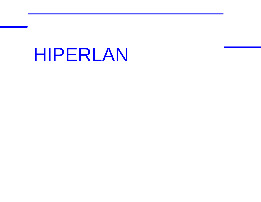# HIPERLAN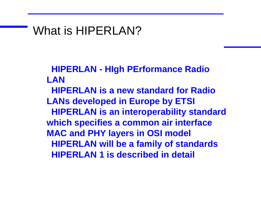## What is HIPERLAN?

**HIPERLAN - HIgh PErformance Radio LAN**

**HIPERLAN is a new standard for Radio LANs developed in Europe by ETSI HIPERLAN is an interoperability standard which specifies a common air interface MAC and PHY layers in OSI model HIPERLAN will be a family of standards HIPERLAN 1 is described in detail**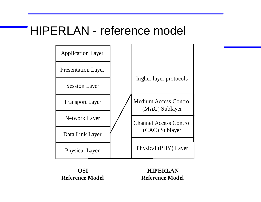## HIPERLAN - reference model



**OSI Reference Model**

**HIPERLAN Reference Model**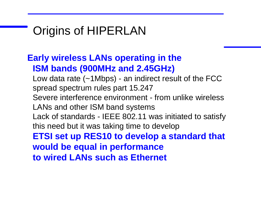## Origins of HIPERLAN

#### **Early wireless LANs operating in the ISM bands (900MHz and 2.45GHz)**

Low data rate  $(-1Mbps)$  - an indirect result of the FCC spread spectrum rules part 15.247 Severe interference environment - from unlike wireless LANs and other ISM band systems Lack of standards - IEEE 802.11 was initiated to satisfy this need but it was taking time to develop **ETSI set up RES10 to develop a standard that would be equal in performance to wired LANs such as Ethernet**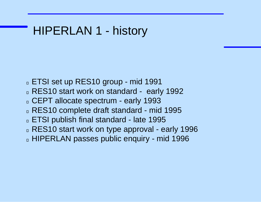## HIPERLAN 1 - history

- **ETSI set up RES10 group mid 1991**
- **RES10 start work on standard early 1992**
- CEPT allocate spectrum early 1993
- RES10 complete draft standard mid 1995
- ETSI publish final standard late 1995
- RES10 start work on type approval early 1996
- **HIPERLAN passes public enquiry mid 1996**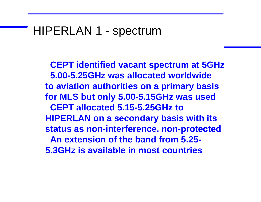## HIPERLAN 1 - spectrum

**CEPT identified vacant spectrum at 5GHz 5.00-5.25GHz was allocated worldwide to aviation authorities on a primary basis for MLS but only 5.00-5.15GHz was used CEPT allocated 5.15-5.25GHz to HIPERLAN on a secondary basis with its status as non-interference, non-protected An extension of the band from 5.25- 5.3GHz is available in most countries**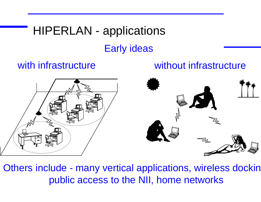## HIPERLAN - applications Early ideas

#### with infrastructure without infrastructure



Others include - many vertical applications, wireless dockin public access to the NII, home networks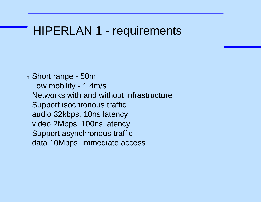## HIPERLAN 1 - requirements

Short range - 50m Low mobility - 1.4m/s Networks with and without infrastructure Support isochronous traffic audio 32kbps, 10ns latency video 2Mbps, 100ns latency Support asynchronous traffic data 10Mbps, immediate access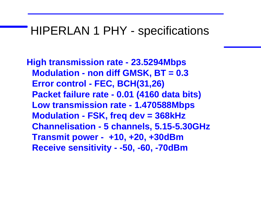### HIPERLAN 1 PHY - specifications

**High transmission rate - 23.5294Mbps Modulation - non diff GMSK, BT = 0.3 Error control - FEC, BCH(31,26) Packet failure rate - 0.01 (4160 data bits) Low transmission rate - 1.470588Mbps Modulation - FSK, freq dev = 368kHz Channelisation - 5 channels, 5.15-5.30GHz Transmit power - +10, +20, +30dBm Receive sensitivity - -50, -60, -70dBm**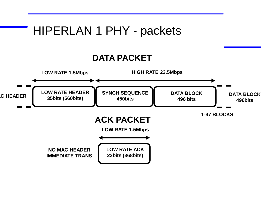## HIPERLAN 1 PHY - packets

#### **DATA PACKET**

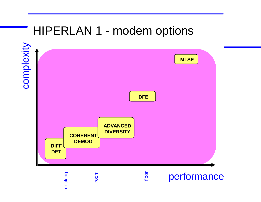## HIPERLAN 1 - modem options

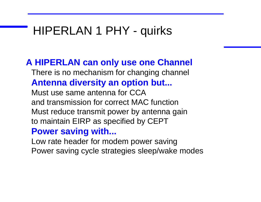## HIPERLAN 1 PHY - quirks

#### **A HIPERLAN can only use one Channel**

There is no mechanism for changing channel **Antenna diversity an option but...**

Must use same antenna for CCA and transmission for correct MAC function Must reduce transmit power by antenna gain to maintain EIRP as specified by CEPT

#### **Power saving with...**

Low rate header for modem power saving Power saving cycle strategies sleep/wake modes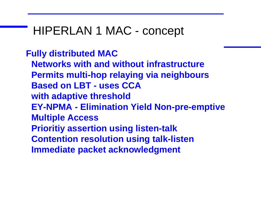## HIPERLAN 1 MAC - concept

#### **Fully distributed MAC**

**Networks with and without infrastructure Permits multi-hop relaying via neighbours Based on LBT - uses CCA with adaptive threshold EY-NPMA - Elimination Yield Non-pre-emptive Multiple Access Prioritiy assertion using listen-talk Contention resolution using talk-listen Immediate packet acknowledgment**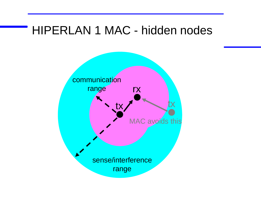## HIPERLAN 1 MAC - hidden nodes

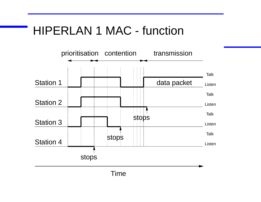## HIPERLAN 1 MAC - function

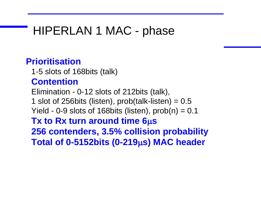## HIPERLAN 1 MAC - phase

#### **Prioritisation**

1-5 slots of 168bits (talk)

#### **Contention**

Elimination - 0-12 slots of 212bits (talk), 1 slot of 256bits (listen), prob(talk-listen)  $= 0.5$ Yield - 0-9 slots of 168bits (listen),  $prob(n) = 0.1$ 

**Tx to Rx turn around time 6µs 256 contenders, 3.5% collision probability Total of 0-5152bits (0-219s) MAC header**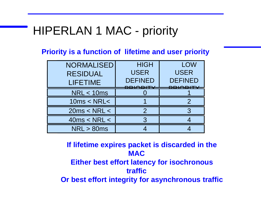## HIPERLAN 1 MAC - priority

**Priority is a function of lifetime and user priority**

| <b>NORMALISED</b><br><b>RESIDUAL</b><br><b>LIFETIME</b> | <b>HIGH</b><br><b>USER</b><br><b>DEFINED</b> | <b>LOW</b><br><b>USER</b><br><b>DEFINED</b> |
|---------------------------------------------------------|----------------------------------------------|---------------------------------------------|
| <b>NRL &lt; 10ms</b>                                    |                                              |                                             |
| 10ms < NRL <                                            |                                              |                                             |
| 20ms < NRL <                                            |                                              |                                             |
| 40ms < NRL <                                            |                                              |                                             |
| NRL > 80ms                                              |                                              |                                             |

**If lifetime expires packet is discarded in the MAC Either best effort latency for isochronous traffic Or best effort integrity for asynchronous traffic**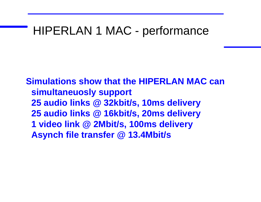## HIPERLAN 1 MAC - performance

**Simulations show that the HIPERLAN MAC can simultaneuosly support 25 audio links @ 32kbit/s, 10ms delivery 25 audio links @ 16kbit/s, 20ms delivery 1 video link @ 2Mbit/s, 100ms delivery Asynch file transfer @ 13.4Mbit/s**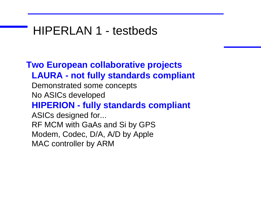## HIPERLAN 1 - testbeds

#### **Two European collaborative projects LAURA - not fully standards compliant**

Demonstrated some concepts No ASICs developed

#### **HIPERION - fully standards compliant**

ASICs designed for... RF MCM with GaAs and Si by GPS Modem, Codec, D/A, A/D by Apple MAC controller by ARM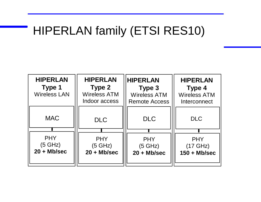## HIPERLAN family (ETSI RES10)